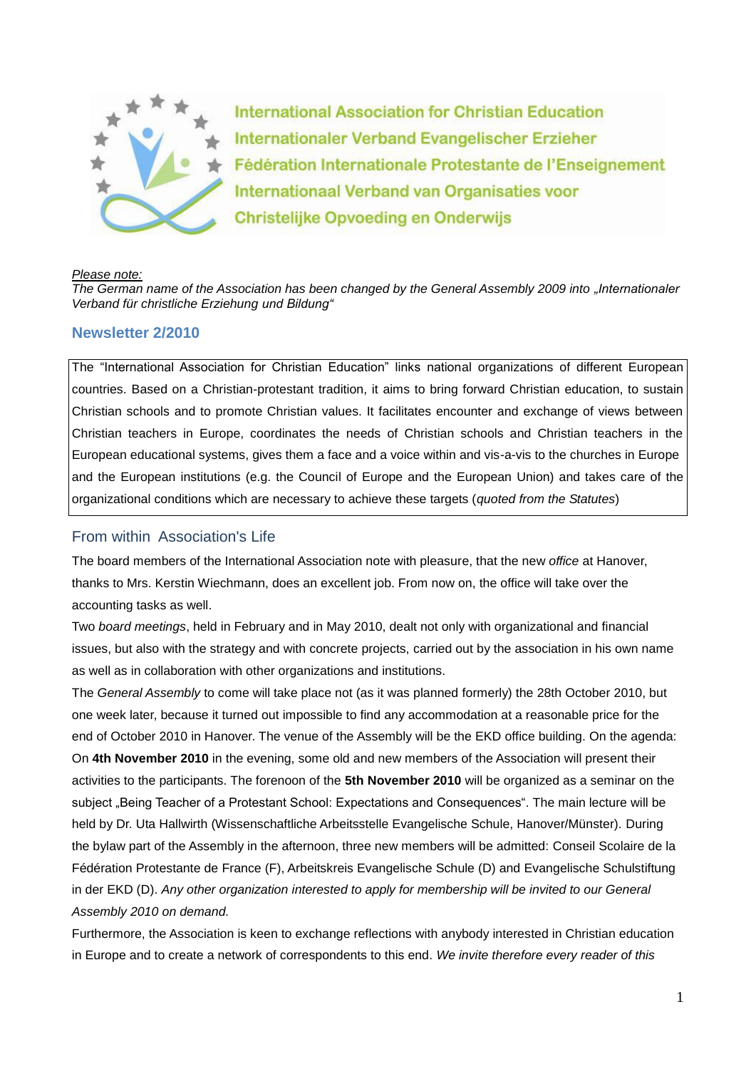

**International Association for Christian Education** Internationaler Verband Evangelischer Erzieher Fédération Internationale Protestante de l'Enseignement Internationaal Verband van Organisaties voor **Christelijke Opvoeding en Onderwijs** 

#### *Please note:*

*The German name of the Association has been changed by the General Assembly 2009 into "Internationaler Verband für christliche Erziehung und Bildung"* 

### **Newsletter 2/2010**

The "International Association for Christian Education" links national organizations of different European countries. Based on a Christian-protestant tradition, it aims to bring forward Christian education, to sustain Christian schools and to promote Christian values. It facilitates encounter and exchange of views between Christian teachers in Europe, coordinates the needs of Christian schools and Christian teachers in the European educational systems, gives them a face and a voice within and vis-a-vis to the churches in Europe and the European institutions (e.g. the Council of Europe and the European Union) and takes care of the organizational conditions which are necessary to achieve these targets (*quoted from the Statutes*)

### From within Association's Life

The board members of the International Association note with pleasure, that the new *office* at Hanover, thanks to Mrs. Kerstin Wiechmann, does an excellent job. From now on, the office will take over the accounting tasks as well.

Two *board meetings*, held in February and in May 2010, dealt not only with organizational and financial issues, but also with the strategy and with concrete projects, carried out by the association in his own name as well as in collaboration with other organizations and institutions.

The *General Assembly* to come will take place not (as it was planned formerly) the 28th October 2010, but one week later, because it turned out impossible to find any accommodation at a reasonable price for the end of October 2010 in Hanover. The venue of the Assembly will be the EKD office building. On the agenda: On **4th November 2010** in the evening, some old and new members of the Association will present their activities to the participants. The forenoon of the **5th November 2010** will be organized as a seminar on the subject "Being Teacher of a Protestant School: Expectations and Consequences". The main lecture will be held by Dr. Uta Hallwirth (Wissenschaftliche Arbeitsstelle Evangelische Schule, Hanover/Münster). During the bylaw part of the Assembly in the afternoon, three new members will be admitted: Conseil Scolaire de la Fédération Protestante de France (F), Arbeitskreis Evangelische Schule (D) and Evangelische Schulstiftung in der EKD (D). *Any other organization interested to apply for membership will be invited to our General Assembly 2010 on demand.*

Furthermore, the Association is keen to exchange reflections with anybody interested in Christian education in Europe and to create a network of correspondents to this end. *We invite therefore every reader of this*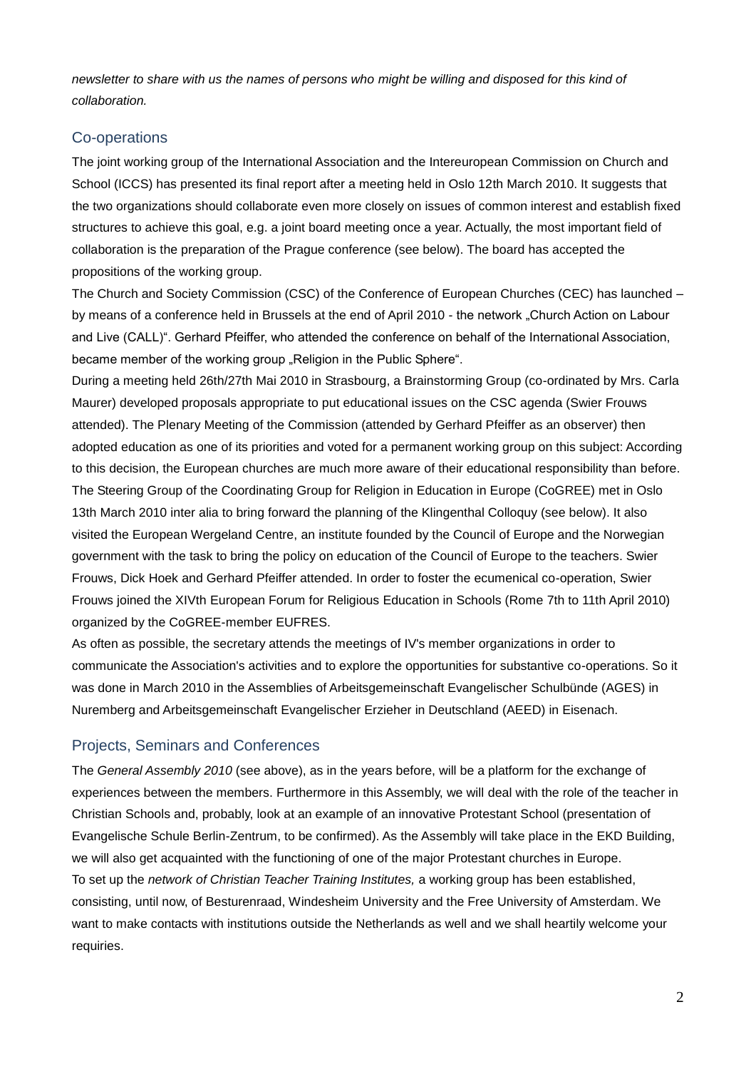*newsletter to share with us the names of persons who might be willing and disposed for this kind of collaboration.*

# Co-operations

The joint working group of the International Association and the Intereuropean Commission on Church and School (ICCS) has presented its final report after a meeting held in Oslo 12th March 2010. It suggests that the two organizations should collaborate even more closely on issues of common interest and establish fixed structures to achieve this goal, e.g. a joint board meeting once a year. Actually, the most important field of collaboration is the preparation of the Prague conference (see below). The board has accepted the propositions of the working group.

The Church and Society Commission (CSC) of the Conference of European Churches (CEC) has launched – by means of a conference held in Brussels at the end of April 2010 - the network "Church Action on Labour and Live (CALL)". Gerhard Pfeiffer, who attended the conference on behalf of the International Association, became member of the working group "Religion in the Public Sphere".

During a meeting held 26th/27th Mai 2010 in Strasbourg, a Brainstorming Group (co-ordinated by Mrs. Carla Maurer) developed proposals appropriate to put educational issues on the CSC agenda (Swier Frouws attended). The Plenary Meeting of the Commission (attended by Gerhard Pfeiffer as an observer) then adopted education as one of its priorities and voted for a permanent working group on this subject: According to this decision, the European churches are much more aware of their educational responsibility than before. The Steering Group of the Coordinating Group for Religion in Education in Europe (CoGREE) met in Oslo 13th March 2010 inter alia to bring forward the planning of the Klingenthal Colloquy (see below). It also visited the European Wergeland Centre, an institute founded by the Council of Europe and the Norwegian government with the task to bring the policy on education of the Council of Europe to the teachers. Swier Frouws, Dick Hoek and Gerhard Pfeiffer attended. In order to foster the ecumenical co-operation, Swier Frouws joined the XIVth European Forum for Religious Education in Schools (Rome 7th to 11th April 2010) organized by the CoGREE-member EUFRES.

As often as possible, the secretary attends the meetings of IV's member organizations in order to communicate the Association's activities and to explore the opportunities for substantive co-operations. So it was done in March 2010 in the Assemblies of Arbeitsgemeinschaft Evangelischer Schulbünde (AGES) in Nuremberg and Arbeitsgemeinschaft Evangelischer Erzieher in Deutschland (AEED) in Eisenach.

# Projects, Seminars and Conferences

The *General Assembly 2010* (see above), as in the years before, will be a platform for the exchange of experiences between the members. Furthermore in this Assembly, we will deal with the role of the teacher in Christian Schools and, probably, look at an example of an innovative Protestant School (presentation of Evangelische Schule Berlin-Zentrum, to be confirmed). As the Assembly will take place in the EKD Building, we will also get acquainted with the functioning of one of the major Protestant churches in Europe. To set up the *network of Christian Teacher Training Institutes,* a working group has been established, consisting, until now, of Besturenraad, Windesheim University and the Free University of Amsterdam. We want to make contacts with institutions outside the Netherlands as well and we shall heartily welcome your requiries.